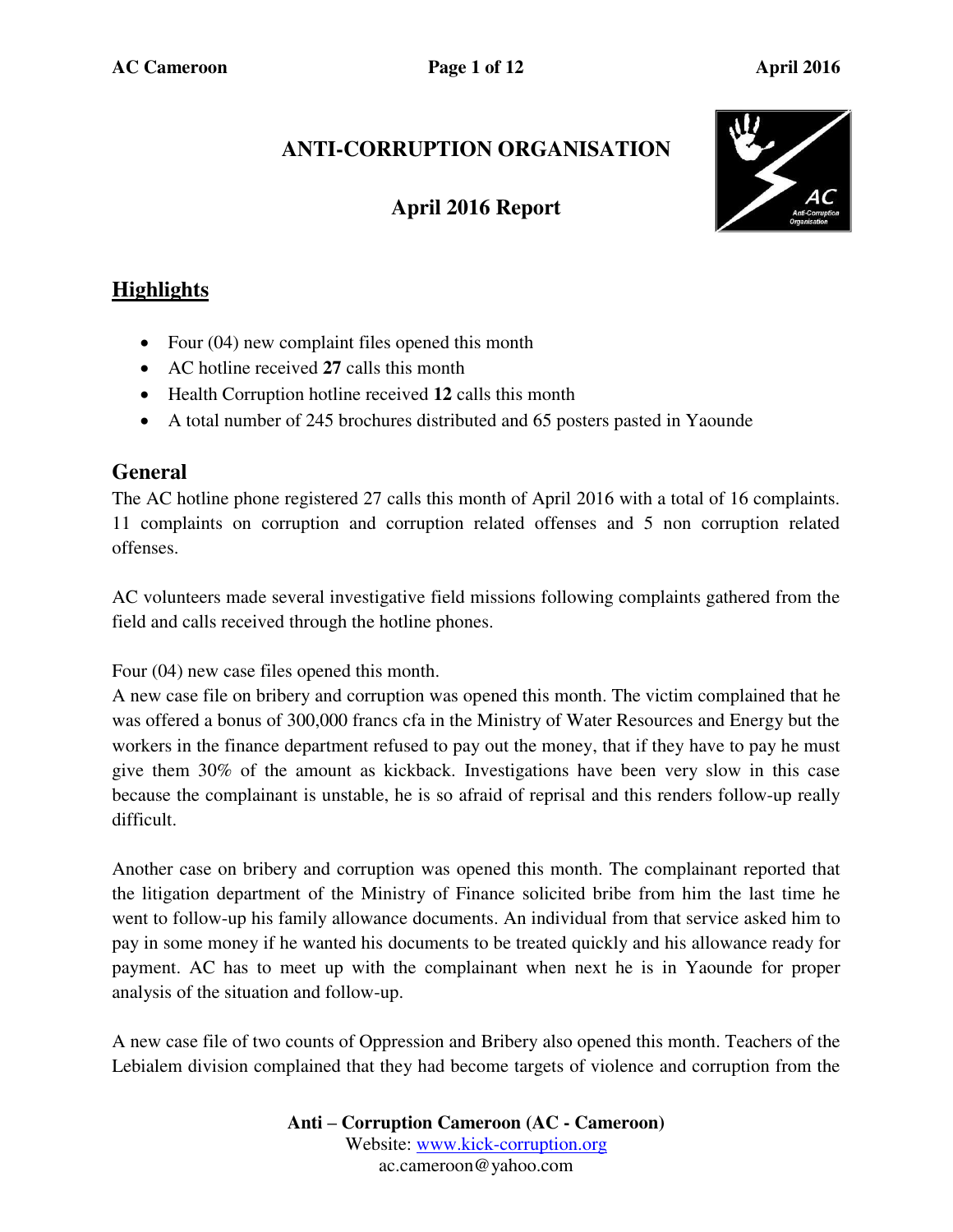# **ANTI-CORRUPTION ORGANISATION**

## **April 2016 Report**



### **Highlights**

- Four (04) new complaint files opened this month
- AC hotline received **27** calls this month
- Health Corruption hotline received **12** calls this month
- A total number of 245 brochures distributed and 65 posters pasted in Yaounde

### **General**

The AC hotline phone registered 27 calls this month of April 2016 with a total of 16 complaints. 11 complaints on corruption and corruption related offenses and 5 non corruption related offenses.

AC volunteers made several investigative field missions following complaints gathered from the field and calls received through the hotline phones.

Four (04) new case files opened this month.

A new case file on bribery and corruption was opened this month. The victim complained that he was offered a bonus of 300,000 francs cfa in the Ministry of Water Resources and Energy but the workers in the finance department refused to pay out the money, that if they have to pay he must give them 30% of the amount as kickback. Investigations have been very slow in this case because the complainant is unstable, he is so afraid of reprisal and this renders follow-up really difficult.

Another case on bribery and corruption was opened this month. The complainant reported that the litigation department of the Ministry of Finance solicited bribe from him the last time he went to follow-up his family allowance documents. An individual from that service asked him to pay in some money if he wanted his documents to be treated quickly and his allowance ready for payment. AC has to meet up with the complainant when next he is in Yaounde for proper analysis of the situation and follow-up.

A new case file of two counts of Oppression and Bribery also opened this month. Teachers of the Lebialem division complained that they had become targets of violence and corruption from the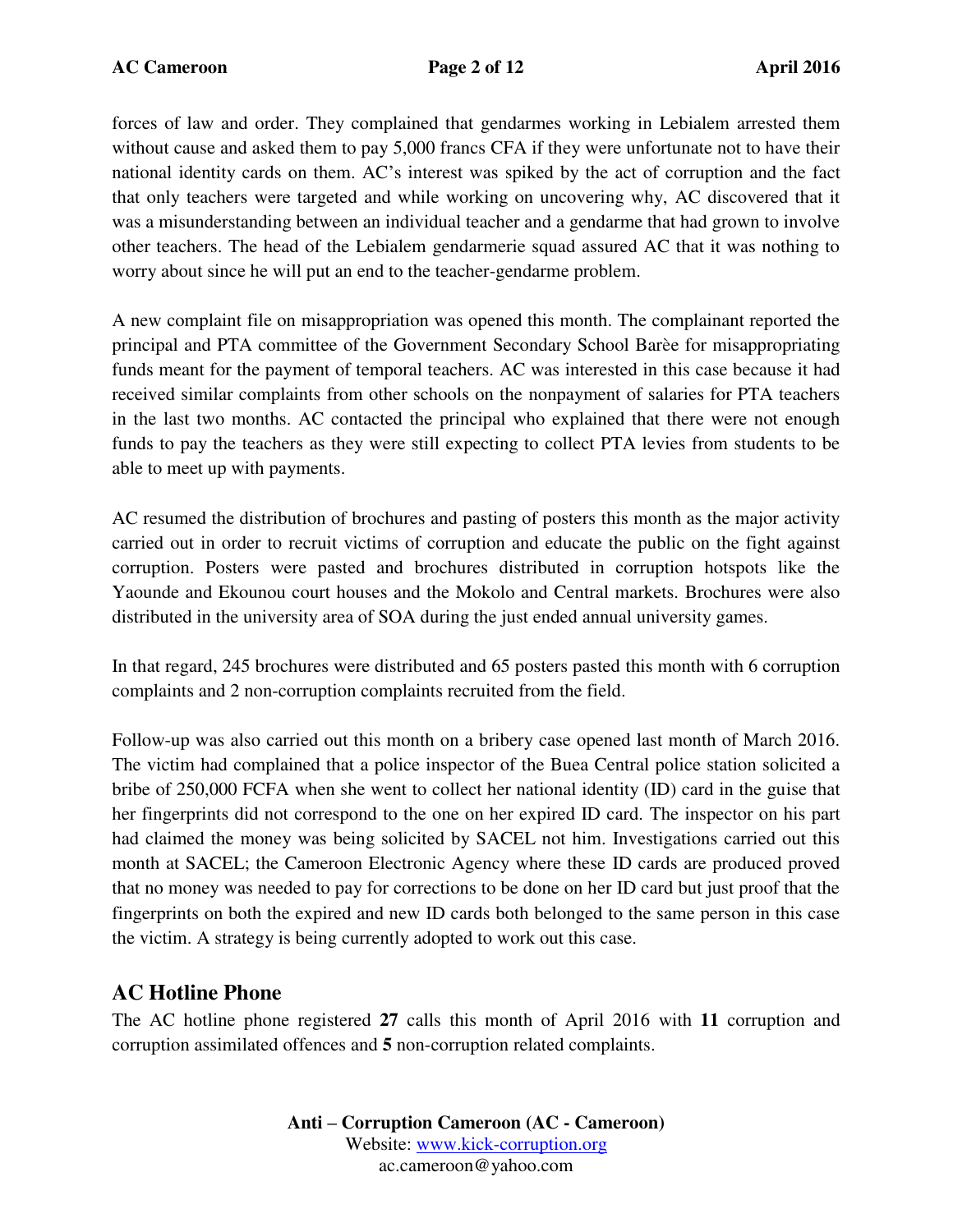forces of law and order. They complained that gendarmes working in Lebialem arrested them without cause and asked them to pay 5,000 francs CFA if they were unfortunate not to have their national identity cards on them. AC's interest was spiked by the act of corruption and the fact that only teachers were targeted and while working on uncovering why, AC discovered that it was a misunderstanding between an individual teacher and a gendarme that had grown to involve other teachers. The head of the Lebialem gendarmerie squad assured AC that it was nothing to worry about since he will put an end to the teacher-gendarme problem.

A new complaint file on misappropriation was opened this month. The complainant reported the principal and PTA committee of the Government Secondary School Barèe for misappropriating funds meant for the payment of temporal teachers. AC was interested in this case because it had received similar complaints from other schools on the nonpayment of salaries for PTA teachers in the last two months. AC contacted the principal who explained that there were not enough funds to pay the teachers as they were still expecting to collect PTA levies from students to be able to meet up with payments.

AC resumed the distribution of brochures and pasting of posters this month as the major activity carried out in order to recruit victims of corruption and educate the public on the fight against corruption. Posters were pasted and brochures distributed in corruption hotspots like the Yaounde and Ekounou court houses and the Mokolo and Central markets. Brochures were also distributed in the university area of SOA during the just ended annual university games.

In that regard, 245 brochures were distributed and 65 posters pasted this month with 6 corruption complaints and 2 non-corruption complaints recruited from the field.

Follow-up was also carried out this month on a bribery case opened last month of March 2016. The victim had complained that a police inspector of the Buea Central police station solicited a bribe of 250,000 FCFA when she went to collect her national identity (ID) card in the guise that her fingerprints did not correspond to the one on her expired ID card. The inspector on his part had claimed the money was being solicited by SACEL not him. Investigations carried out this month at SACEL; the Cameroon Electronic Agency where these ID cards are produced proved that no money was needed to pay for corrections to be done on her ID card but just proof that the fingerprints on both the expired and new ID cards both belonged to the same person in this case the victim. A strategy is being currently adopted to work out this case.

### **AC Hotline Phone**

The AC hotline phone registered **27** calls this month of April 2016 with **11** corruption and corruption assimilated offences and **5** non-corruption related complaints.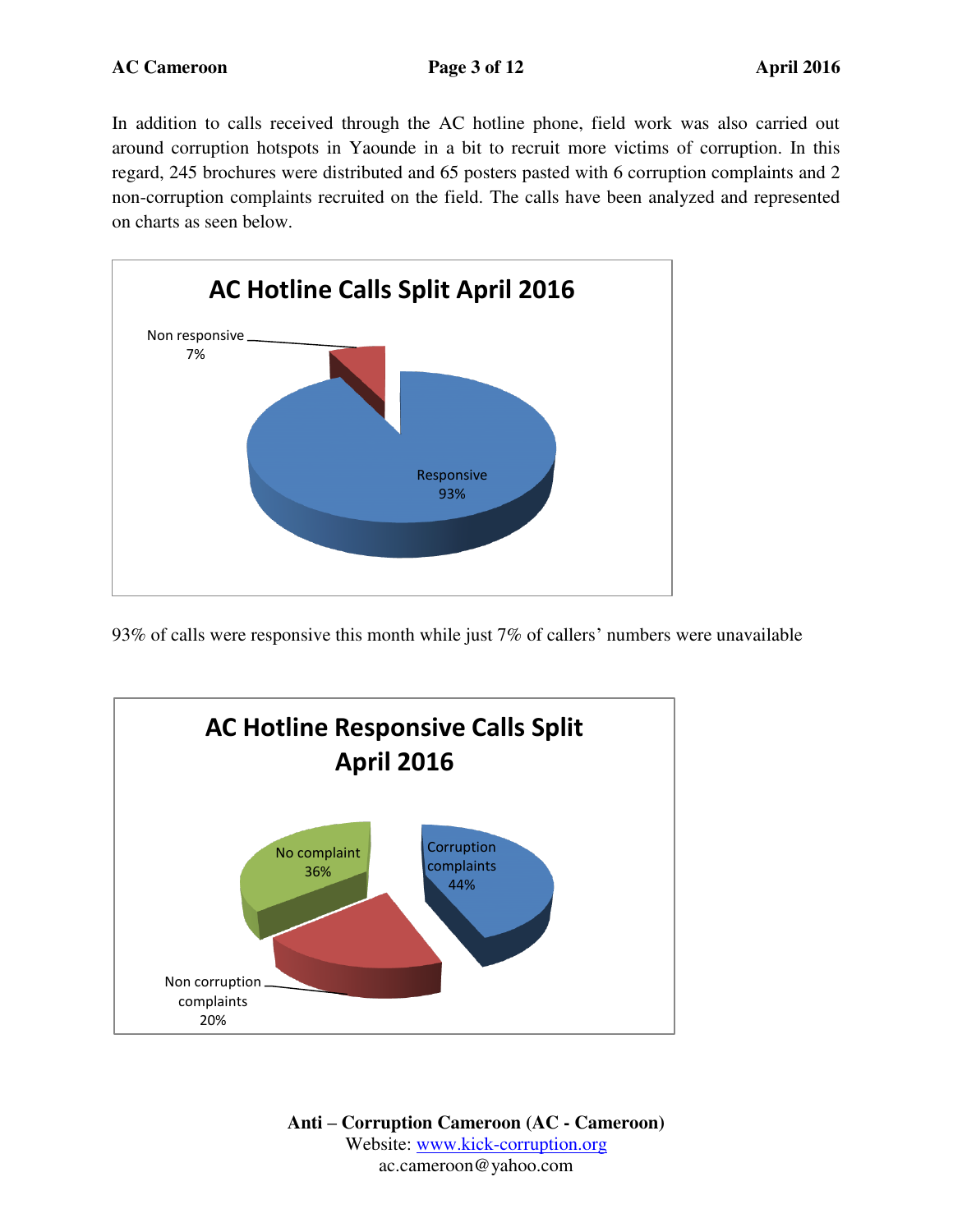In addition to calls received through the AC hotline phone, field work was also carried out around corruption hotspots in Yaounde in a bit to recruit more victims of corruption. In this regard, 245 brochures were distributed and 65 posters pasted with 6 corruption complaints and 2 non-corruption complaints recruited on the field. The calls have been analyzed and represented on charts as seen below.



93% of calls were responsive this month while just 7% of callers' numbers were unavailable

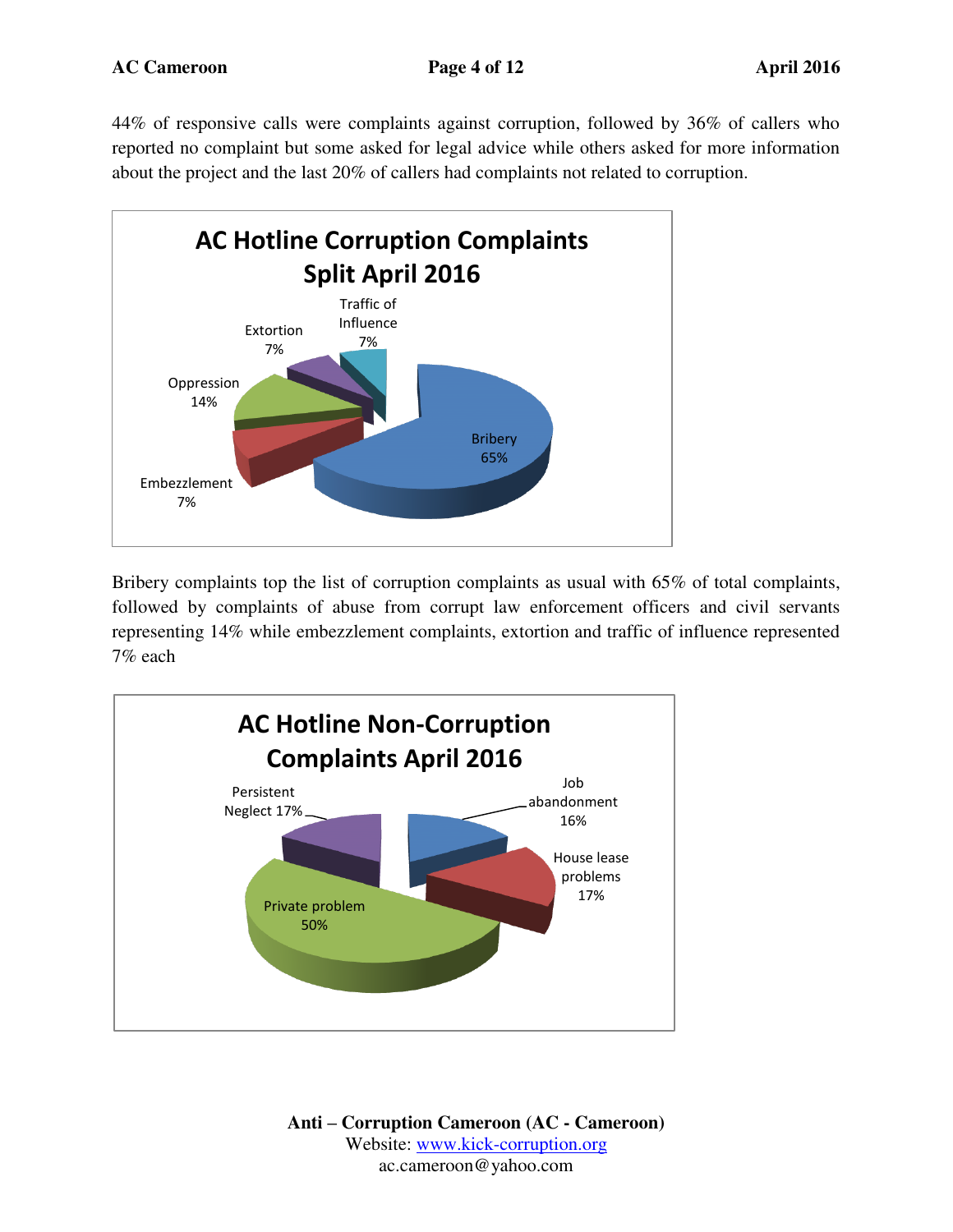44% of responsive calls were complaints against corruption, followed by 36% of callers who reported no complaint but some asked for legal advice while others asked for more information about the project and the last 20% of callers had complaints not related to corruption.



Bribery complaints top the list of corruption complaints as usual with 65% of total complaints, followed by complaints of abuse from corrupt law enforcement officers and civil servants representing 14% while embezzlement complaints, extortion and traffic of influence represented 7% each

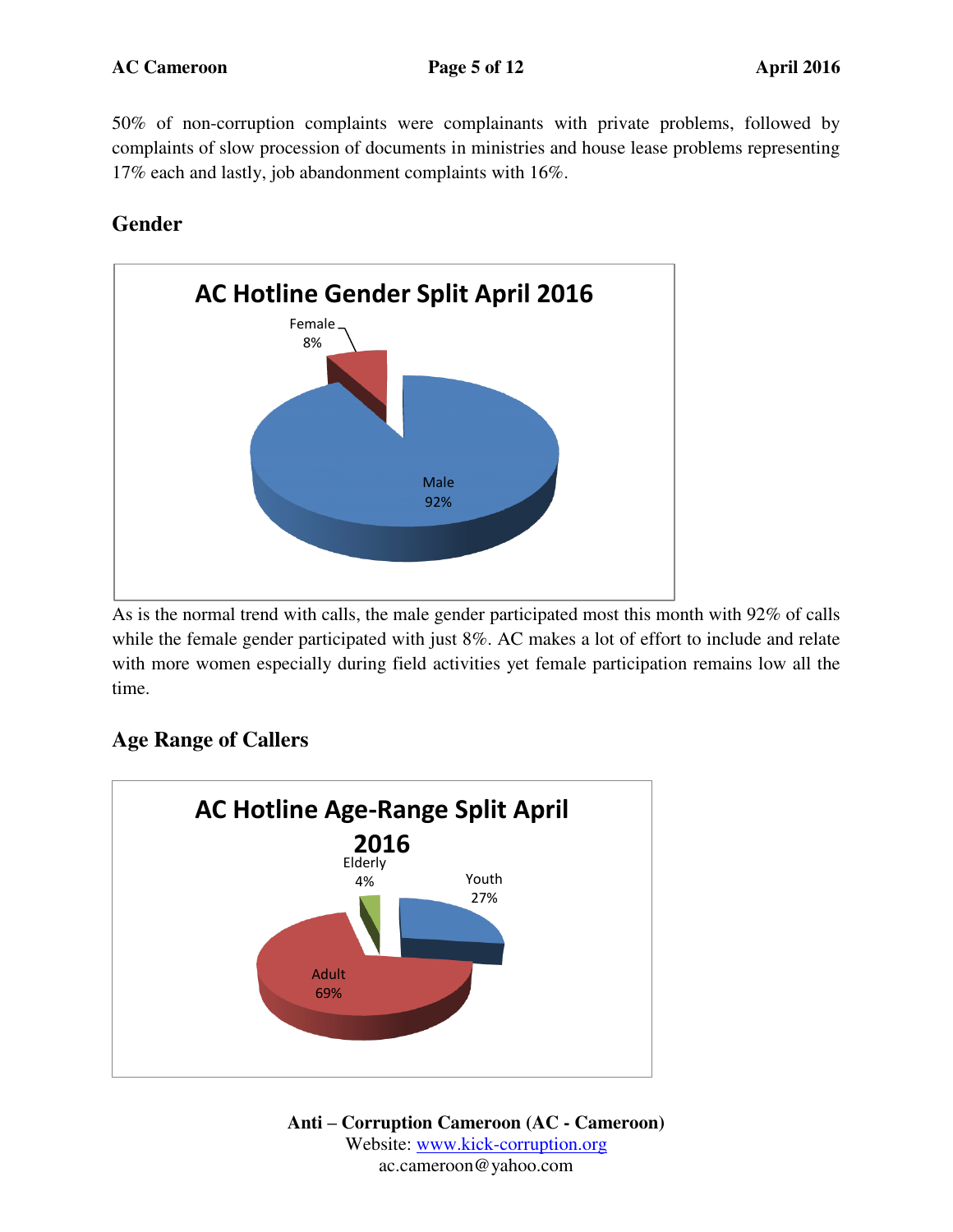50% of non-corruption complaints were complainants with private problems, followed by complaints of slow procession of documents in ministries and house lease problems representing 17% each and lastly, job abandonment complaints with 16%.

### **Gender**



As is the normal trend with calls, the male gender participated most this month with 92% of calls while the female gender participated with just 8%. AC makes a lot of effort to include and relate with more women especially during field activities yet female participation remains low all the time.



### **Age Range of Callers**

**Anti – Corruption Cameroon (AC - Cameroon)** Website: [www.kick-corruption.org](http://www.kick-corruption.org/) ac.cameroon@yahoo.com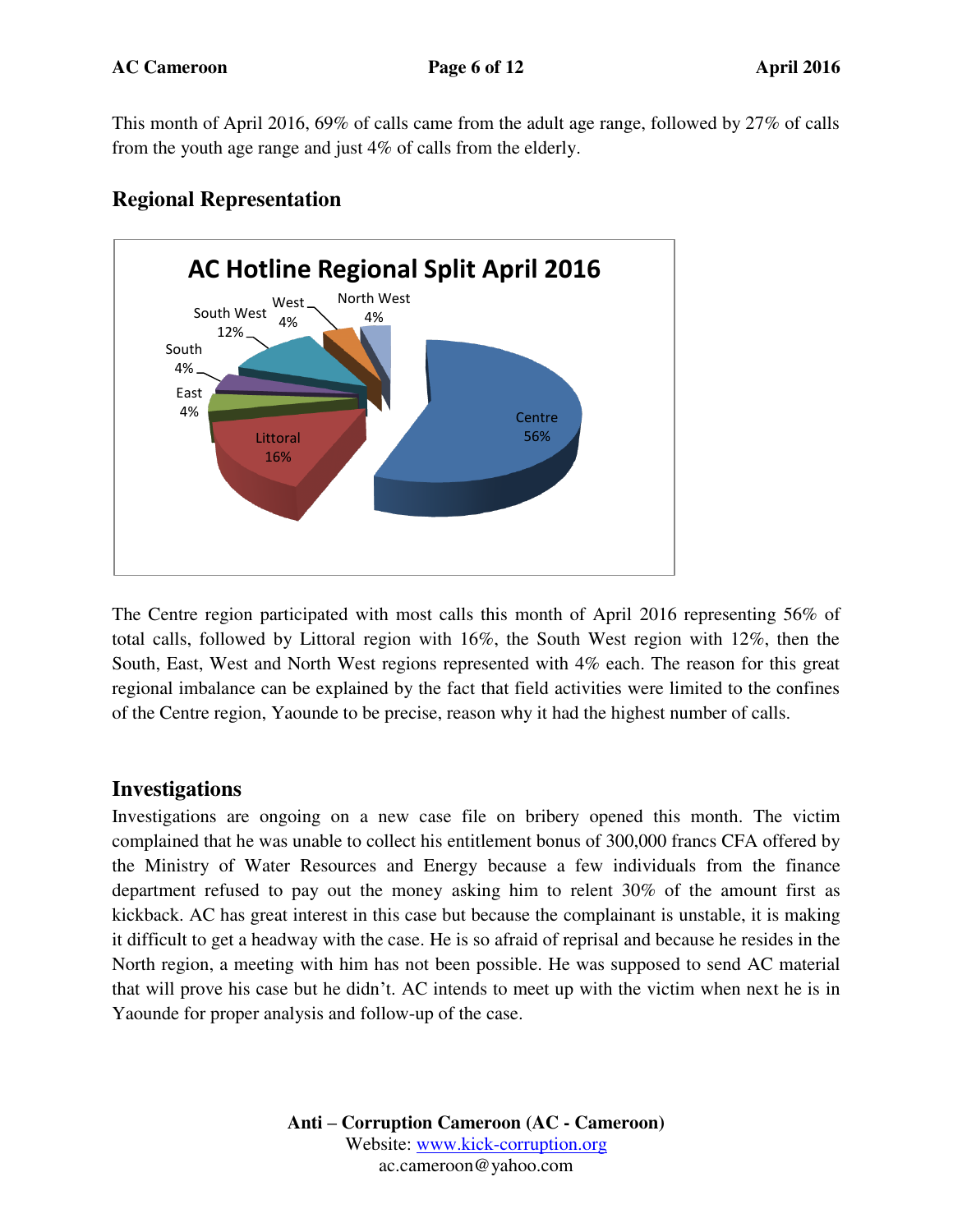This month of April 2016, 69% of calls came from the adult age range, followed by 27% of calls from the youth age range and just 4% of calls from the elderly.



### **Regional Representation**

The Centre region participated with most calls this month of April 2016 representing 56% of total calls, followed by Littoral region with 16%, the South West region with 12%, then the South, East, West and North West regions represented with 4% each. The reason for this great regional imbalance can be explained by the fact that field activities were limited to the confines of the Centre region, Yaounde to be precise, reason why it had the highest number of calls.

#### **Investigations**

Investigations are ongoing on a new case file on bribery opened this month. The victim complained that he was unable to collect his entitlement bonus of 300,000 francs CFA offered by the Ministry of Water Resources and Energy because a few individuals from the finance department refused to pay out the money asking him to relent 30% of the amount first as kickback. AC has great interest in this case but because the complainant is unstable, it is making it difficult to get a headway with the case. He is so afraid of reprisal and because he resides in the North region, a meeting with him has not been possible. He was supposed to send AC material that will prove his case but he didn't. AC intends to meet up with the victim when next he is in Yaounde for proper analysis and follow-up of the case.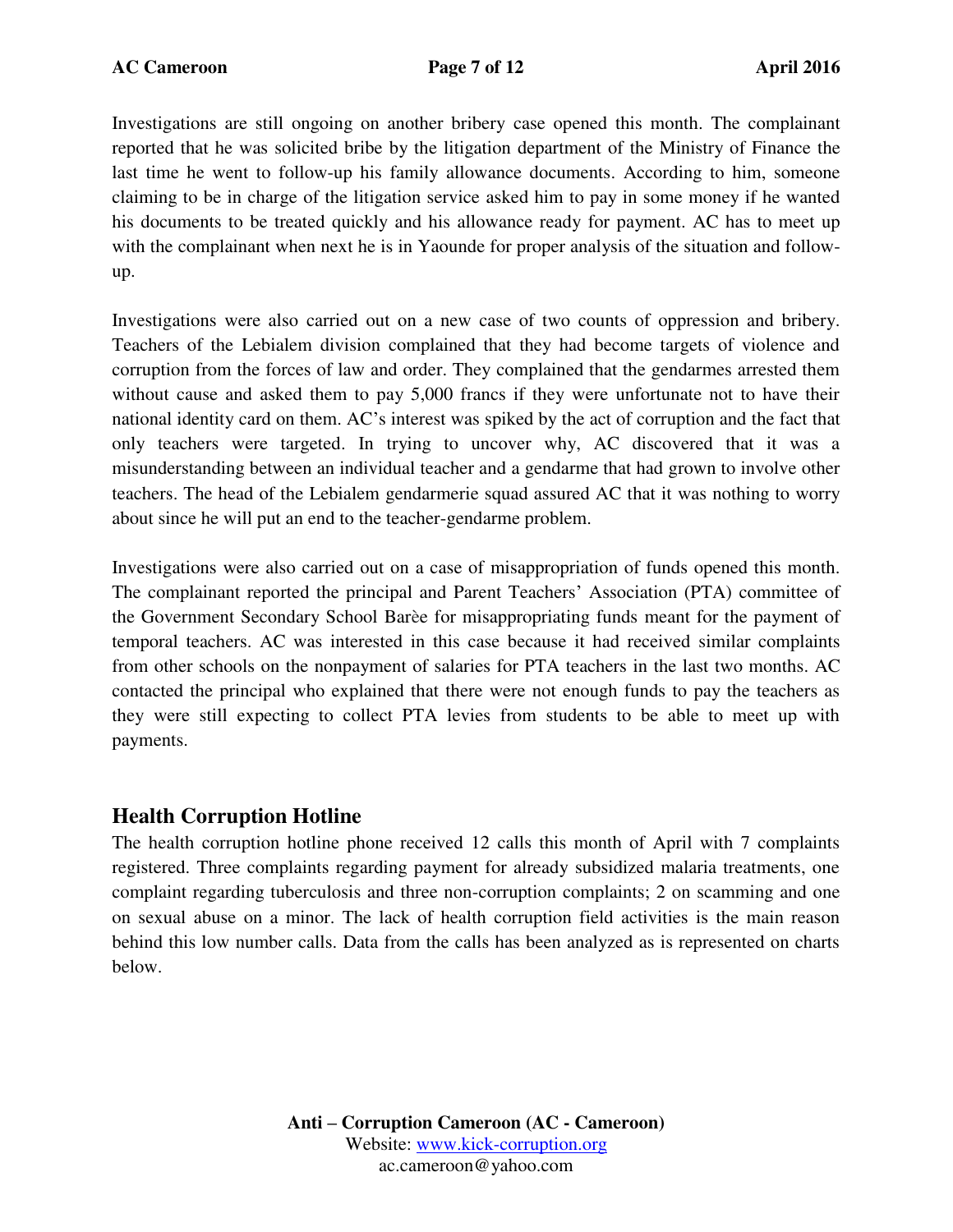Investigations are still ongoing on another bribery case opened this month. The complainant reported that he was solicited bribe by the litigation department of the Ministry of Finance the last time he went to follow-up his family allowance documents. According to him, someone claiming to be in charge of the litigation service asked him to pay in some money if he wanted his documents to be treated quickly and his allowance ready for payment. AC has to meet up with the complainant when next he is in Yaounde for proper analysis of the situation and followup.

Investigations were also carried out on a new case of two counts of oppression and bribery. Teachers of the Lebialem division complained that they had become targets of violence and corruption from the forces of law and order. They complained that the gendarmes arrested them without cause and asked them to pay 5,000 francs if they were unfortunate not to have their national identity card on them. AC's interest was spiked by the act of corruption and the fact that only teachers were targeted. In trying to uncover why, AC discovered that it was a misunderstanding between an individual teacher and a gendarme that had grown to involve other teachers. The head of the Lebialem gendarmerie squad assured AC that it was nothing to worry about since he will put an end to the teacher-gendarme problem.

Investigations were also carried out on a case of misappropriation of funds opened this month. The complainant reported the principal and Parent Teachers' Association (PTA) committee of the Government Secondary School Barèe for misappropriating funds meant for the payment of temporal teachers. AC was interested in this case because it had received similar complaints from other schools on the nonpayment of salaries for PTA teachers in the last two months. AC contacted the principal who explained that there were not enough funds to pay the teachers as they were still expecting to collect PTA levies from students to be able to meet up with payments.

#### **Health Corruption Hotline**

The health corruption hotline phone received 12 calls this month of April with 7 complaints registered. Three complaints regarding payment for already subsidized malaria treatments, one complaint regarding tuberculosis and three non-corruption complaints; 2 on scamming and one on sexual abuse on a minor. The lack of health corruption field activities is the main reason behind this low number calls. Data from the calls has been analyzed as is represented on charts below.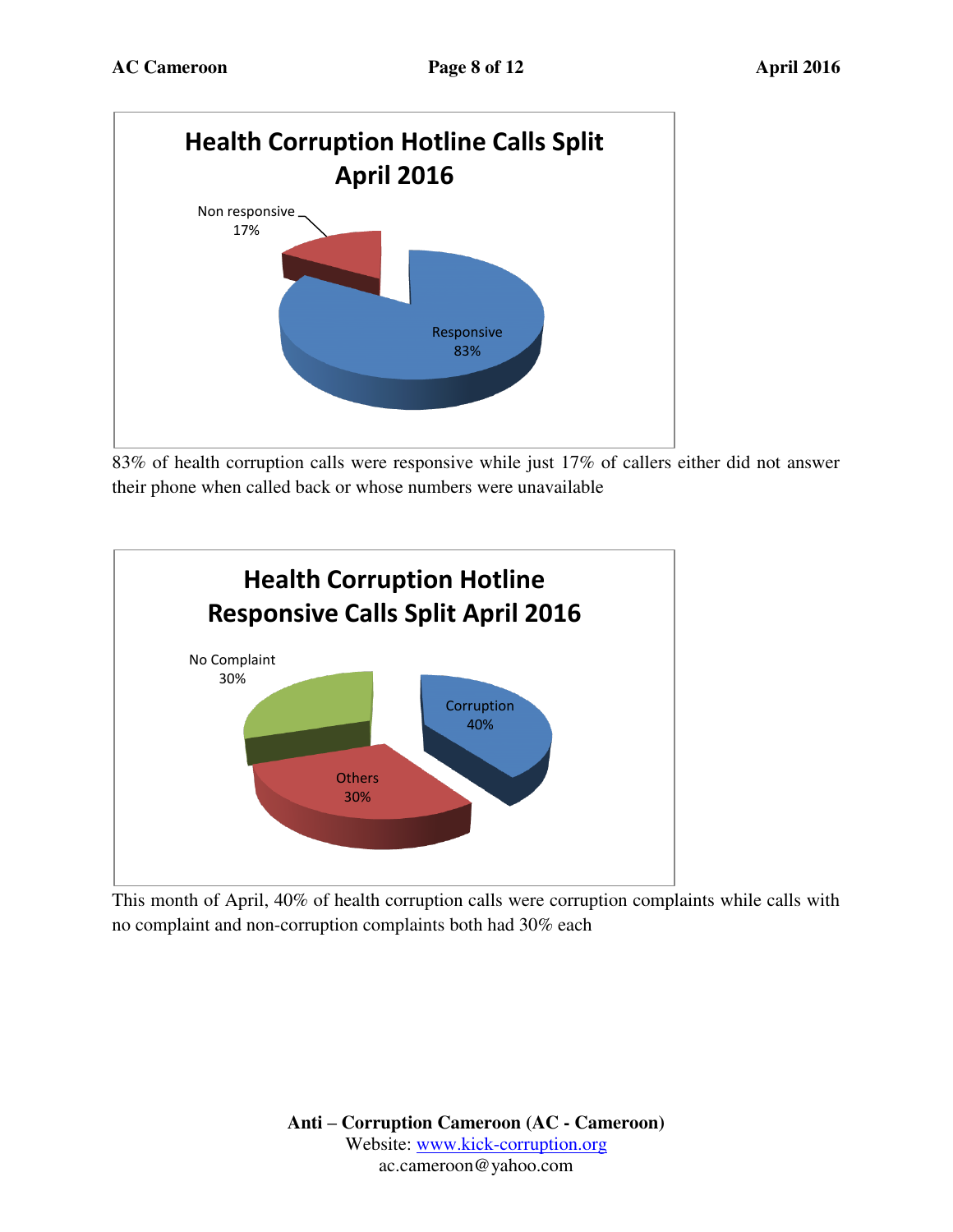

83% of health corruption calls were responsive while just 17% of callers either did not answer their phone when called back or whose numbers were unavailable



This month of April, 40% of health corruption calls were corruption complaints while calls with no complaint and non-corruption complaints both had 30% each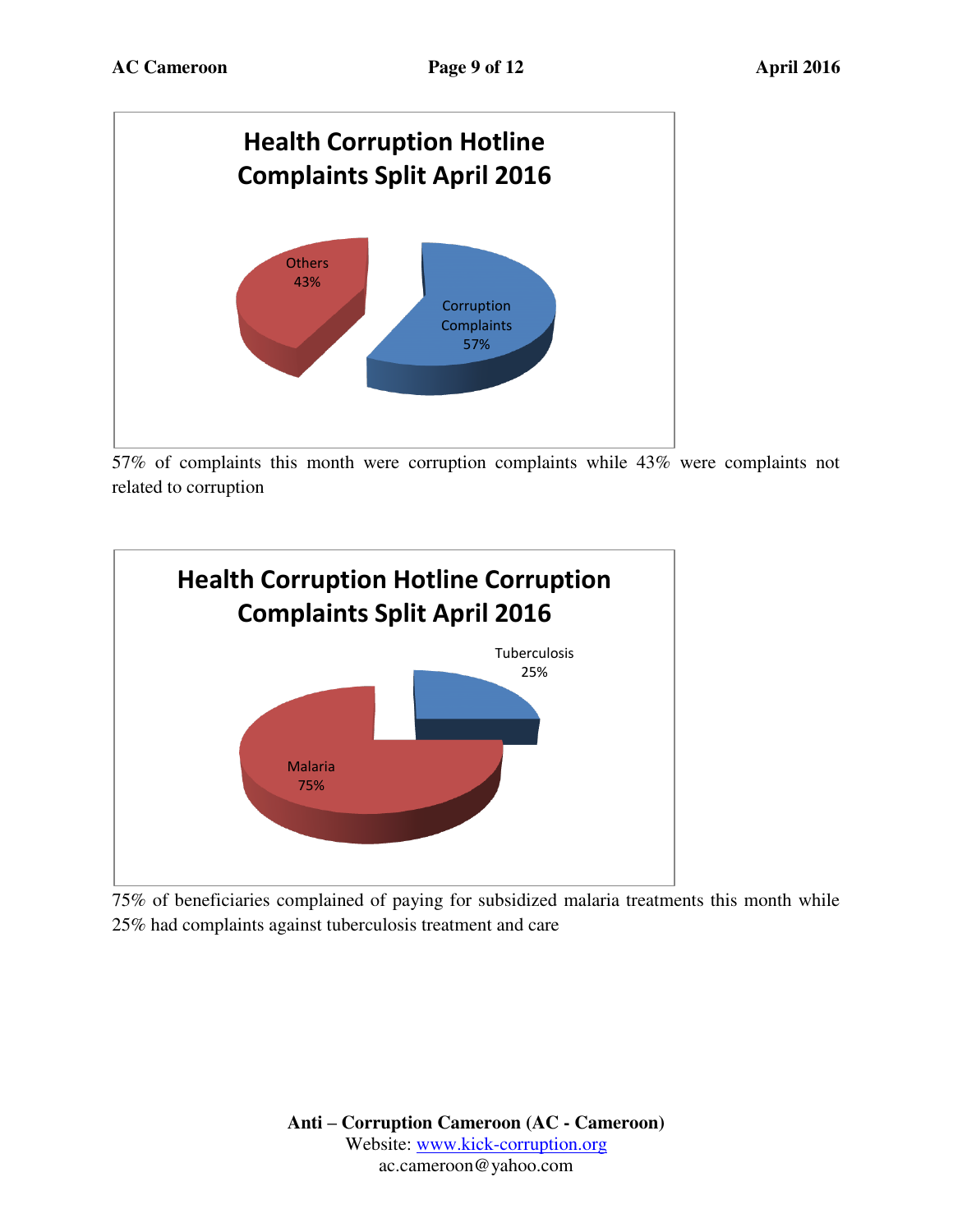

57% of complaints this month were corruption complaints while 43% were complaints not related to corruption



75% of beneficiaries complained of paying for subsidized malaria treatments this month while 25% had complaints against tuberculosis treatment and care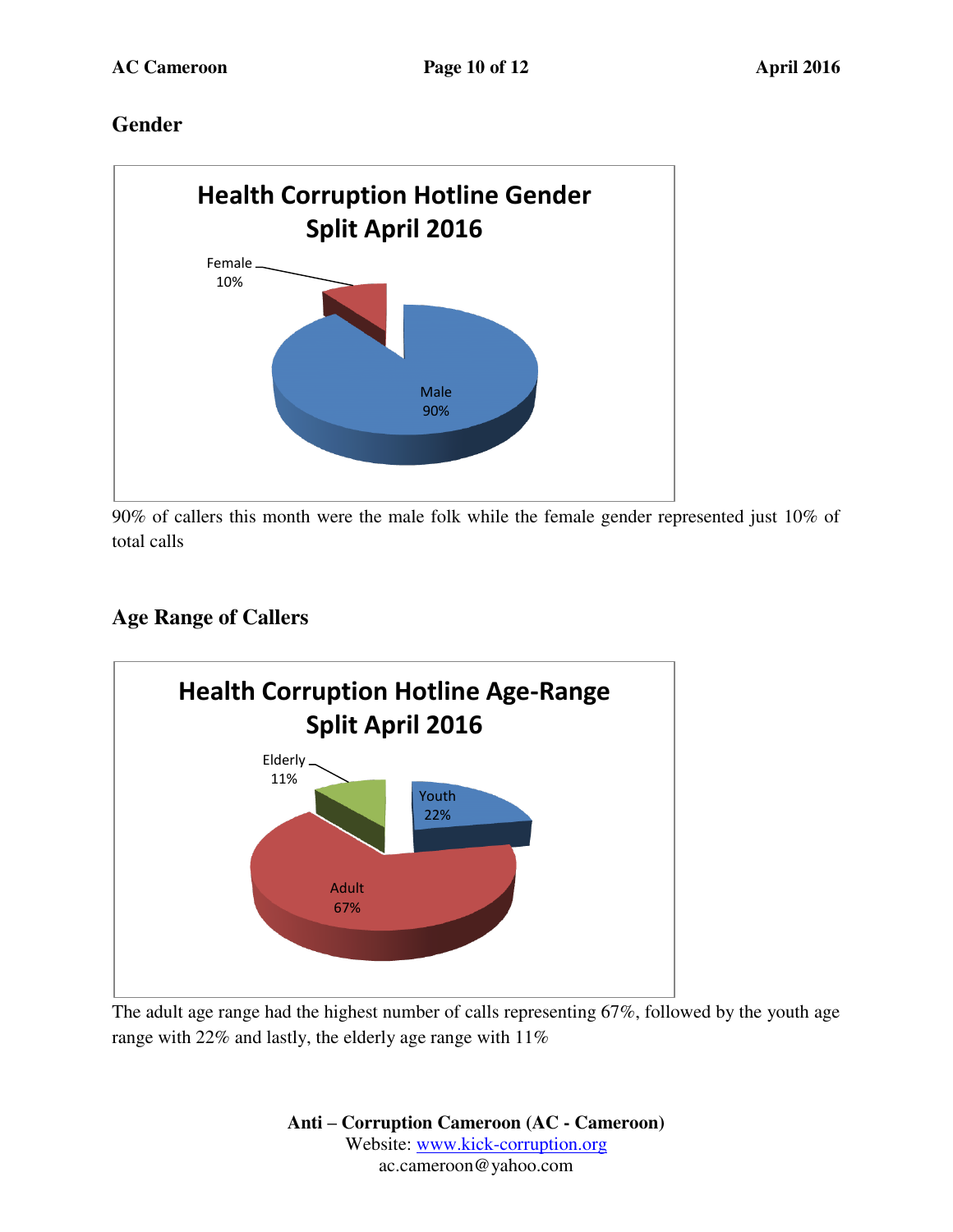### **Gender**



90% of callers this month were the male folk while the female gender represented just 10% of total calls

### **Age Range of Callers**



The adult age range had the highest number of calls representing 67%, followed by the youth age range with 22% and lastly, the elderly age range with 11%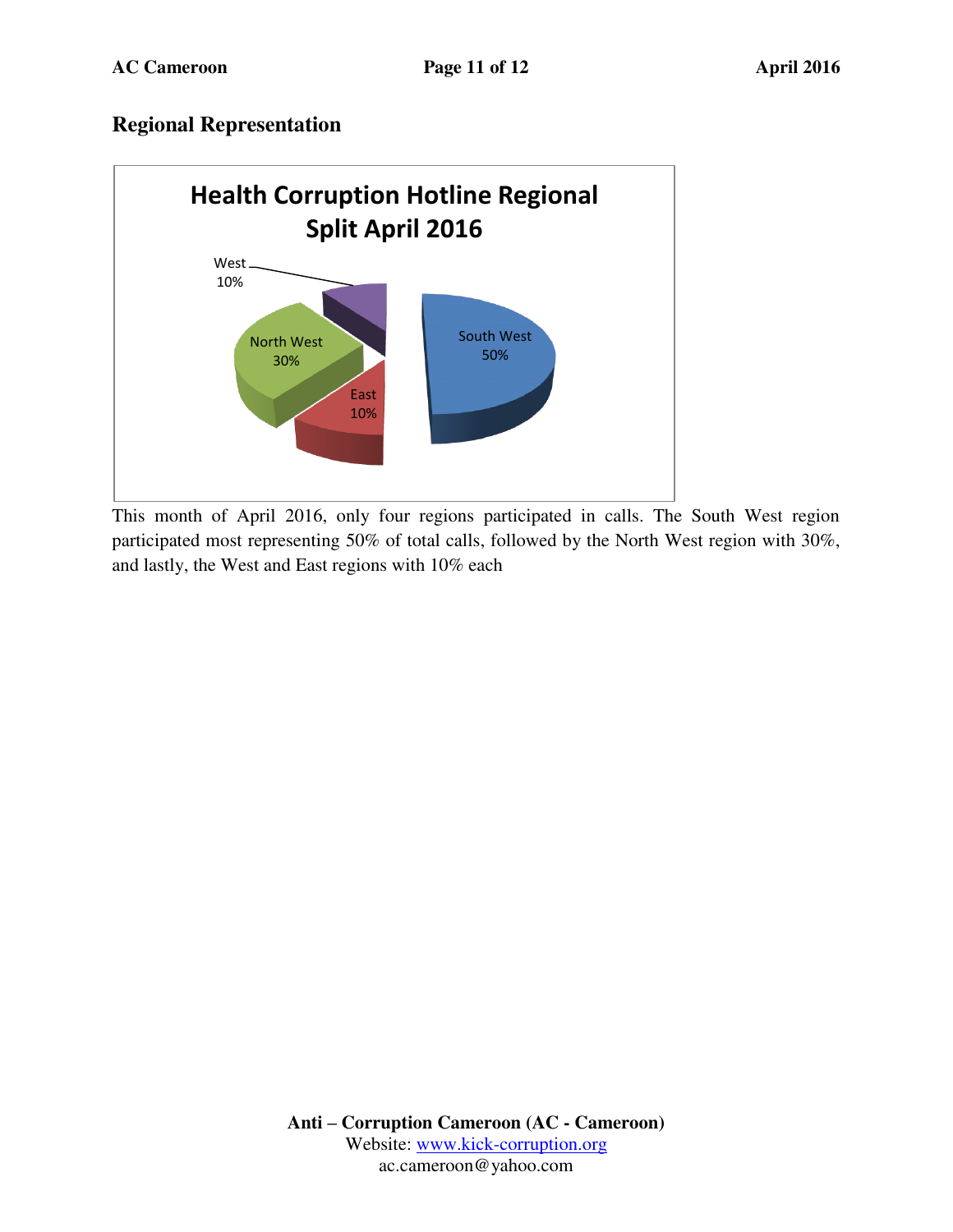#### **Regional Representation**



This month of April 2016, only four regions participated in calls. The South West region participated most representing 50% of total calls, followed by the North West region with 30%, and lastly, the West and East regions with 10% each